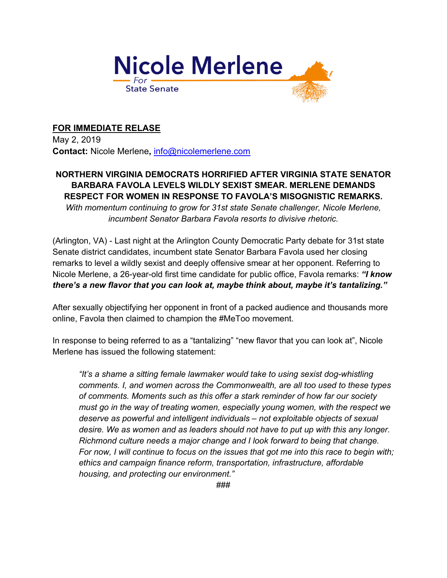

## **FOR IMMEDIATE RELASE**

May 2, 2019 **Contact:** Nicole Merlene**,** info@nicolemerlene.com

## **NORTHERN VIRGINIA DEMOCRATS HORRIFIED AFTER VIRGINIA STATE SENATOR BARBARA FAVOLA LEVELS WILDLY SEXIST SMEAR. MERLENE DEMANDS RESPECT FOR WOMEN IN RESPONSE TO FAVOLA'S MISOGNISTIC REMARKS.**

*With momentum continuing to grow for 31st state Senate challenger, Nicole Merlene, incumbent Senator Barbara Favola resorts to divisive rhetoric.*

(Arlington, VA) - Last night at the Arlington County Democratic Party debate for 31st state Senate district candidates, incumbent state Senator Barbara Favola used her closing remarks to level a wildly sexist and deeply offensive smear at her opponent. Referring to Nicole Merlene, a 26-year-old first time candidate for public office, Favola remarks: *"I know there's a new flavor that you can look at, maybe think about, maybe it's tantalizing."* 

After sexually objectifying her opponent in front of a packed audience and thousands more online, Favola then claimed to champion the #MeToo movement.

In response to being referred to as a "tantalizing" "new flavor that you can look at", Nicole Merlene has issued the following statement:

*"It's a shame a sitting female lawmaker would take to using sexist dog-whistling comments. I, and women across the Commonwealth, are all too used to these types of comments. Moments such as this offer a stark reminder of how far our society must go in the way of treating women, especially young women, with the respect we deserve as powerful and intelligent individuals – not exploitable objects of sexual desire. We as women and as leaders should not have to put up with this any longer. Richmond culture needs a major change and I look forward to being that change. For now, I will continue to focus on the issues that got me into this race to begin with; ethics and campaign finance reform, transportation, infrastructure, affordable housing, and protecting our environment."*